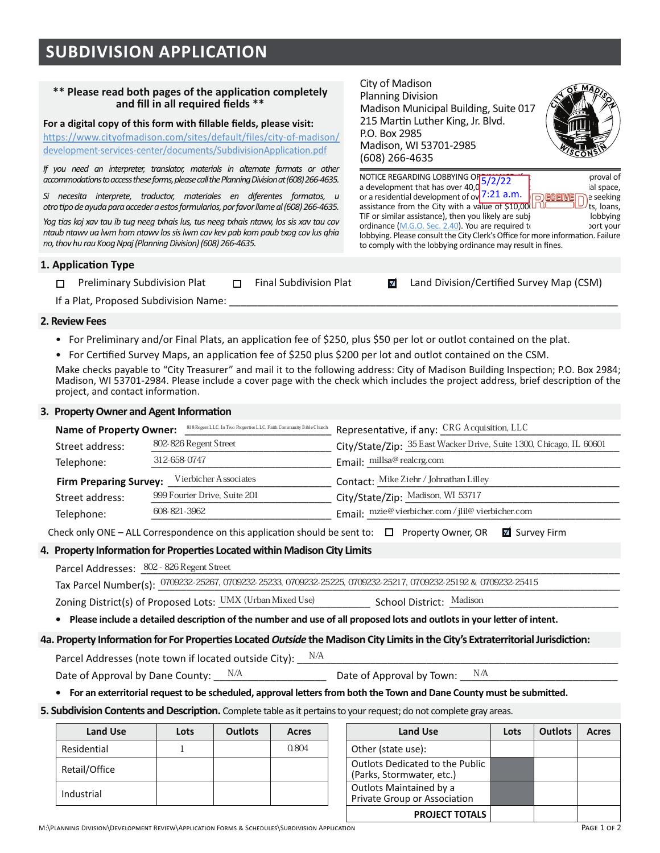# **SUBDIVISION APPLICATION**

#### \*\* Please read both pages of the application completely and fill in all required fields \*\*

For a digital copy of this form with fillable fields, please visit:

https://www.cityofmadison.com/sites/default/files/city-of-madison/ development-services-center/documents/SubdivisionApplication.pdf

*If you need an interpreter, translator, materials in alternate formats or other accommodations to access these forms, please call the Planning Division at (608) 266-4635.* 

*Si necesita interprete, traductor, materiales en diferentes formatos, u*  otro tipo de ayuda para acceder a estos formularios, por favor llame al (608) 266-4635.

*?!@\$%)-\$A!B\$C)3\$")+\$1D\$"+@\$E((@\$"CF)1-\$0+-2\$"+-\$E((@\$"CF)1-\$E")G32\$0!-\$-1-\$C)3\$")+\$,!3\$* ntaub ntawv ua lwm hom ntawv los sis lwm cov kev pab kom paub txog cov lus ghia no, thov hu rau Koog Npaj (Planning Division) (608) 266-4635.

# **1. Application Type**

| □ Preliminary Subdivision Plat              | Final Subdivision Plat | <b>Ø</b> Land Division/Certified Survey Map (CSM) |
|---------------------------------------------|------------------------|---------------------------------------------------|
| if a Blat, Business d'Orde diristant Names. |                        |                                                   |

City of Madison Planning Division

P.O. Box 2985

 $(608)$  266-4635

Madison. WI 53701-2985

It a Plat. Proposed Subdivision Name:

#### **2. Review Fees**

- For Preliminary and/or Final Plats, an application fee of \$250, plus \$50 per lot or outlot contained on the plat.
- \* For Certified Survey Maps, an application fee of \$250 plus \$200 per lot and outlot contained on the CSM.

Make checks pavable to "City Treasurer" and mail it to the following address: City of Madison Building Inspection: P.O. Box 2984: Madison, WI 53701-2984. Please include a cover page with the check which includes the project address, brief description of the project, and contact information.

#### **6. Property Owner and Agent Information**

| <b>Name of Property Owner:</b>                         | 818 Regent LLC, In Two Properties LLC, Faith Community Bible Church | Representative, if any: CRG Acquisition, LLC                        |  |  |  |  |
|--------------------------------------------------------|---------------------------------------------------------------------|---------------------------------------------------------------------|--|--|--|--|
| 802-826 Regent Street<br>Street address:               |                                                                     | City/State/Zip: 35 East Wacker Drive, Suite 1300, Chicago, IL 60601 |  |  |  |  |
| 312-658-0747<br>Telephone:                             |                                                                     | Email: millsa@ realcrg.com                                          |  |  |  |  |
| Vierbicher Associates<br><b>Firm Preparing Survey:</b> |                                                                     | Contact: Mike Ziehr / Johnathan Lilley                              |  |  |  |  |
| Street address:                                        | 999 Fourier Drive, Suite 201                                        | City/State/Zip: Madison, WI 53717                                   |  |  |  |  |
| Telephone:                                             | 608-821-3962                                                        | Email: mzie@vierbicher.com / jlil@vierbicher.com                    |  |  |  |  |

Check only ONE – ALL Correspondence on this application should be sent to:  $\Box$  Property Owner, OR  $\Box$  Survey Firm

### 4. Property Information for Properties Located within Madison City Limits

| Parcel Addresses: 802 - 826 Regent Street                            |                                                                                                                 |  |
|----------------------------------------------------------------------|-----------------------------------------------------------------------------------------------------------------|--|
|                                                                      | Tax Parcel Number(s): 0709232-25267, 0709232-25233, 0709232-25225, 0709232-25217, 0709232-25192 & 0709232-25415 |  |
| Zoning District(s) of Proposed Lots: $\,$ UMX (Urban Mixed Use) $\,$ | School District: Madison                                                                                        |  |

#### **•** Please include a detailed description of the number and use of all proposed lots and outlots in your letter of intent.

#### 4a. Property Information for For Properties Located Outside the Madison City Limits in the City's Extraterritorial Jurisdiction:

Beach Machesses (note town if located outside City): Date of Approval by Dane County:  $\frac{N/A}{A}$  Date of Approval by Town:  $\frac{N/A}{A}$ N/A Date of Approval by Town:

**•** For an exterritorial request to be scheduled, approval letters from both the Town and Dane County must be submitted.

#### **5. Subdivision Contents and Description.** Complete table as it pertains to your request; do not complete gray areas.

| <b>Land Use</b> | Lots | <b>Outlots</b> | Acres | <b>Land Use</b>                                                     |
|-----------------|------|----------------|-------|---------------------------------------------------------------------|
| Residential     |      |                | 0.804 | Other (state use):                                                  |
| Retail/Office   |      |                |       | <b>Outlots Dedicated to the Public</b><br>(Parks, Stormwater, etc.) |
| Industrial      |      |                |       | Outlots Maintained by a<br>Private Group or Association             |
|                 |      |                |       |                                                                     |

| <b>Land Use</b> | Lots | <b>Outlots</b> | Acres | <b>Land Use</b>                                              | Lots | <b>Outlots</b> | Acres |
|-----------------|------|----------------|-------|--------------------------------------------------------------|------|----------------|-------|
| ential          |      |                | 0.804 | Other (state use):                                           |      |                |       |
| /Office         |      |                |       | Outlots Dedicated to the Public<br>(Parks, Stormwater, etc.) |      |                |       |
| trial           |      |                |       | Outlots Maintained by a<br>Private Group or Association      |      |                |       |
|                 |      |                |       | <b>PROJECT TOTALS</b>                                        |      |                |       |



NOTICE REGARDING LOBBYING OF  $\frac{5}{2}\frac{2}{2}$ a development that has over 40,0<sup>9</sup>/222<br>or a residential development of over  $\frac{1}{2}$ . The seeking in the seeking  $\frac{1}{\sqrt{2}}$  or a residential development of ov  $7:21$  a.m.  $\sqrt{D}$  ECEIWE  $\sqrt{D}$  seeking assistance from the City with a value of  $$10,00$   $\Box$   $\Box$  ts, loans, TIF or similar assistance), then you likely are subj bobbying ordinance (M.G.O. Sec. 2.40). You are required to example the source of your lobbying. Please consult the City Clerk's Office for more information. Failure

to comply with the lobbying ordinance may result in fines.